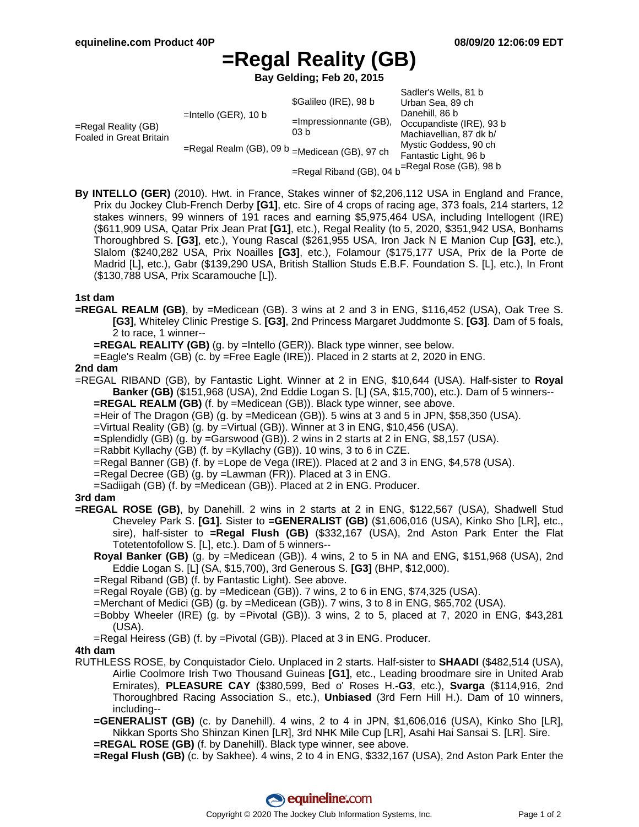# **=Regal Reality (GB)**

**Bay Gelding; Feb 20, 2015**

| =Regal Reality (GB)<br>Foaled in Great Britain | $=$ Intello (GER), 10 b<br>=Regal Realm (GB), 09 b =Medicean (GB), 97 ch | \$Galileo (IRE), 98 b<br>$=$ Impressionnante (GB),<br>03 b | Sadler's Wells, 81 b<br>Urban Sea, 89 ch<br>Danehill, 86 b<br>Occupandiste (IRE), 93 b<br>Machiavellian, 87 dk b/<br>Mystic Goddess, 90 ch<br>Fantastic Light, 96 b<br>$=$ Regal Rose (GB), 98 b |
|------------------------------------------------|--------------------------------------------------------------------------|------------------------------------------------------------|--------------------------------------------------------------------------------------------------------------------------------------------------------------------------------------------------|
|                                                |                                                                          | =Regal Riband (GB), 04 b                                   |                                                                                                                                                                                                  |

**By INTELLO (GER)** (2010). Hwt. in France, Stakes winner of \$2,206,112 USA in England and France, Prix du Jockey Club-French Derby **[G1]**, etc. Sire of 4 crops of racing age, 373 foals, 214 starters, 12 stakes winners, 99 winners of 191 races and earning \$5,975,464 USA, including Intellogent (IRE) (\$611,909 USA, Qatar Prix Jean Prat **[G1]**, etc.), Regal Reality (to 5, 2020, \$351,942 USA, Bonhams Thoroughbred S. **[G3]**, etc.), Young Rascal (\$261,955 USA, Iron Jack N E Manion Cup **[G3]**, etc.), Slalom (\$240,282 USA, Prix Noailles **[G3]**, etc.), Folamour (\$175,177 USA, Prix de la Porte de Madrid [L], etc.), Gabr (\$139,290 USA, British Stallion Studs E.B.F. Foundation S. [L], etc.), In Front (\$130,788 USA, Prix Scaramouche [L]).

#### **1st dam**

**=REGAL REALM (GB)**, by =Medicean (GB). 3 wins at 2 and 3 in ENG, \$116,452 (USA), Oak Tree S. **[G3]**, Whiteley Clinic Prestige S. **[G3]**, 2nd Princess Margaret Juddmonte S. **[G3]**. Dam of 5 foals, 2 to race, 1 winner--

**=REGAL REALITY (GB)** (g. by =Intello (GER)). Black type winner, see below.

=Eagle's Realm (GB) (c. by =Free Eagle (IRE)). Placed in 2 starts at 2, 2020 in ENG.

#### **2nd dam**

=REGAL RIBAND (GB), by Fantastic Light. Winner at 2 in ENG, \$10,644 (USA). Half-sister to **Royal Banker (GB)** (\$151,968 (USA), 2nd Eddie Logan S. [L] (SA, \$15,700), etc.). Dam of 5 winners--

**=REGAL REALM (GB)** (f. by =Medicean (GB)). Black type winner, see above.

=Heir of The Dragon (GB) (g. by =Medicean (GB)). 5 wins at 3 and 5 in JPN, \$58,350 (USA).

=Virtual Reality (GB) (g. by =Virtual (GB)). Winner at 3 in ENG, \$10,456 (USA).

=Splendidly (GB) (g. by =Garswood (GB)). 2 wins in 2 starts at 2 in ENG, \$8,157 (USA).

 $=$ Rabbit Kyllachy (GB) (f. by  $=$ Kyllachy (GB)). 10 wins, 3 to 6 in CZE.

=Regal Banner (GB) (f. by =Lope de Vega (IRE)). Placed at 2 and 3 in ENG, \$4,578 (USA).

=Regal Decree (GB) (g. by =Lawman (FR)). Placed at 3 in ENG.

=Sadiigah (GB) (f. by =Medicean (GB)). Placed at 2 in ENG. Producer.

#### **3rd dam**

- **=REGAL ROSE (GB)**, by Danehill. 2 wins in 2 starts at 2 in ENG, \$122,567 (USA), Shadwell Stud Cheveley Park S. **[G1]**. Sister to **=GENERALIST (GB)** (\$1,606,016 (USA), Kinko Sho [LR], etc., sire), half-sister to **=Regal Flush (GB)** (\$332,167 (USA), 2nd Aston Park Enter the Flat Totetentofollow S. [L], etc.). Dam of 5 winners--
	- **Royal Banker (GB)** (g. by =Medicean (GB)). 4 wins, 2 to 5 in NA and ENG, \$151,968 (USA), 2nd Eddie Logan S. [L] (SA, \$15,700), 3rd Generous S. **[G3]** (BHP, \$12,000).

=Regal Riband (GB) (f. by Fantastic Light). See above.

=Regal Royale (GB) (g. by =Medicean (GB)). 7 wins, 2 to 6 in ENG, \$74,325 (USA).

=Merchant of Medici (GB) (g. by =Medicean (GB)). 7 wins, 3 to 8 in ENG, \$65,702 (USA).

- =Bobby Wheeler (IRE) (g. by =Pivotal (GB)). 3 wins, 2 to 5, placed at 7, 2020 in ENG, \$43,281 (USA).
- =Regal Heiress (GB) (f. by =Pivotal (GB)). Placed at 3 in ENG. Producer.

### **4th dam**

- RUTHLESS ROSE, by Conquistador Cielo. Unplaced in 2 starts. Half-sister to **SHAADI** (\$482,514 (USA), Airlie Coolmore Irish Two Thousand Guineas **[G1]**, etc., Leading broodmare sire in United Arab Emirates), **PLEASURE CAY** (\$380,599, Bed o' Roses H.**-G3**, etc.), **Svarga** (\$114,916, 2nd Thoroughbred Racing Association S., etc.), **Unbiased** (3rd Fern Hill H.). Dam of 10 winners, including--
	- **=GENERALIST (GB)** (c. by Danehill). 4 wins, 2 to 4 in JPN, \$1,606,016 (USA), Kinko Sho [LR], Nikkan Sports Sho Shinzan Kinen [LR], 3rd NHK Mile Cup [LR], Asahi Hai Sansai S. [LR]. Sire.
	- **=REGAL ROSE (GB)** (f. by Danehill). Black type winner, see above.
	- **=Regal Flush (GB)** (c. by Sakhee). 4 wins, 2 to 4 in ENG, \$332,167 (USA), 2nd Aston Park Enter the